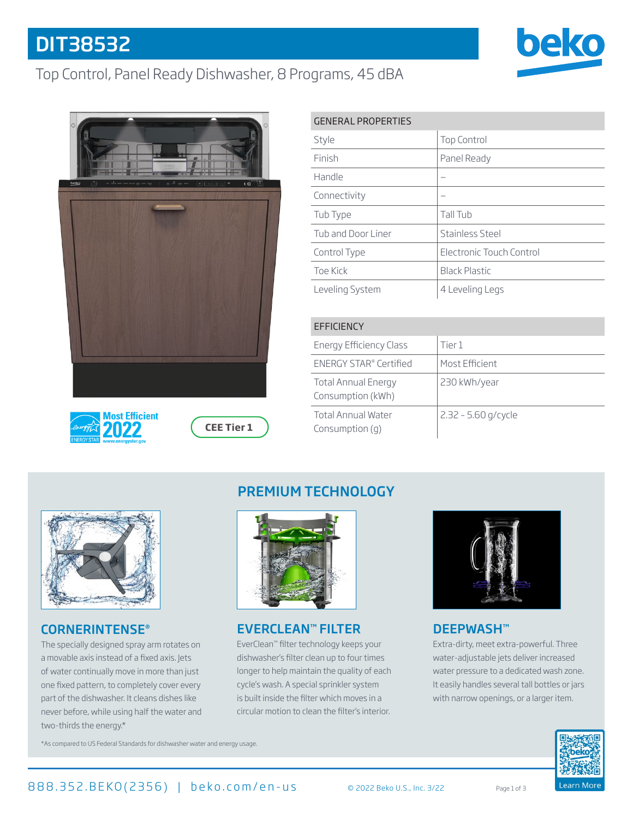# DIT38532

# Top Control, Panel Ready Dishwasher, 8 Programs, 45 dBA









| <b>GENERAL PROPERTIES</b> |                          |  |
|---------------------------|--------------------------|--|
| Style                     | <b>Top Control</b>       |  |
| Finish                    | Panel Ready              |  |
| Handle                    |                          |  |
| Connectivity              |                          |  |
| Tub Type                  | Tall Tub                 |  |
| Tub and Door Liner        | Stainless Steel          |  |
| Control Type              | Electronic Touch Control |  |
| Toe Kick                  | <b>Black Plastic</b>     |  |
| Leveling System           | 4 Leveling Legs          |  |
|                           |                          |  |

| EFFICIENCY                                      |                       |  |
|-------------------------------------------------|-----------------------|--|
| <b>Energy Efficiency Class</b>                  | Tier 1                |  |
| ENERGY STAR® Certified                          | Most Efficient        |  |
| <b>Total Annual Energy</b><br>Consumption (kWh) | 230 kWh/year          |  |
| <b>Total Annual Water</b><br>Consumption $(q)$  | $2.32 - 5.60$ g/cycle |  |



#### CORNERINTENSE®

The specially designed spray arm rotates on a movable axis instead of a fixed axis. Jets of water continually move in more than just one fixed pattern, to completely cover every part of the dishwasher. It cleans dishes like never before, while using half the water and two-thirds the energy.\*

## PREMIUM TECHNOLOGY



### EVERCLEAN™ FILTER

EverClean™ filter technology keeps your dishwasher's filter clean up to four times longer to help maintain the quality of each cycle's wash. A special sprinkler system is built inside the filter which moves in a circular motion to clean the filter's interior.



## DEEPWASH™

Extra-dirty, meet extra-powerful. Three water-adjustable jets deliver increased water pressure to a dedicated wash zone. It easily handles several tall bottles or jars with narrow openings, or a larger item.



\*As compared to US Federal Standards for dishwasher water and energy usage.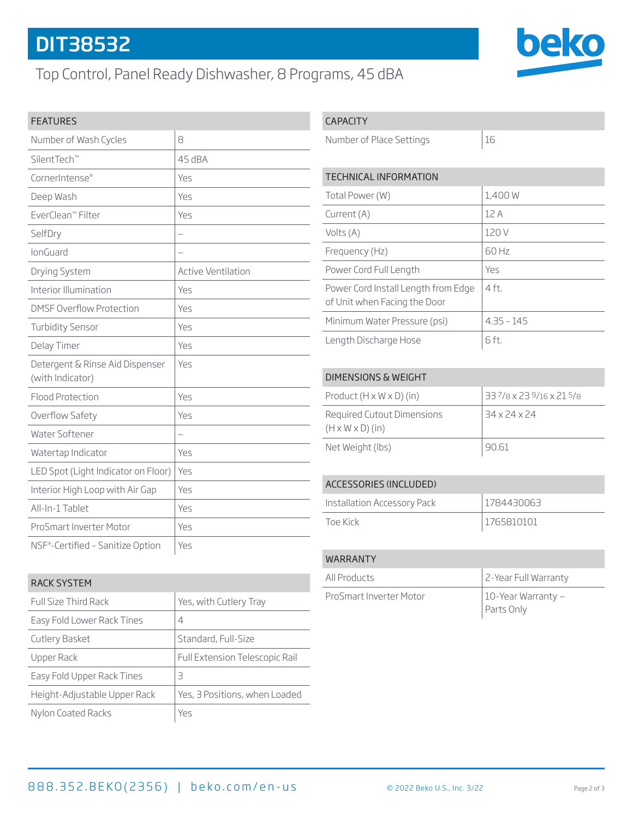# DIT38532

# Top Control, Panel Ready Dishwasher, 8 Programs, 45 dBA



| Number of Wash Cycles                               | 8                         |
|-----------------------------------------------------|---------------------------|
| SilentTech™                                         | 45 dBA                    |
| CornerIntense®                                      | Yes                       |
| Deep Wash                                           | Yes                       |
| EverClean™ Filter                                   | Yes                       |
| SelfDry                                             | ÷.                        |
| lonGuard                                            |                           |
| Drying System                                       | <b>Active Ventilation</b> |
| Interior Illumination                               | Yes                       |
| <b>DMSF Overflow Protection</b>                     | Yes                       |
| <b>Turbidity Sensor</b>                             | Yes                       |
| Delay Timer                                         | Yes                       |
| Detergent & Rinse Aid Dispenser<br>(with Indicator) | Yes                       |
| <b>Flood Protection</b>                             | Yes                       |
| Overflow Safety                                     | Yes                       |
| Water Softener                                      |                           |
| Watertap Indicator                                  | Yes                       |
| LED Spot (Light Indicator on Floor)                 | Yes                       |
| Interior High Loop with Air Gap                     | Yes                       |
| All-In-1 Tablet                                     | Yes                       |
| ProSmart Inverter Motor                             | Yes                       |
| NSF®-Certified - Sanitize Option                    | Yes                       |

### CAPACITY

Number of Place Settings 16

beko

| TECHNICAL INFORMATION                                               |              |  |
|---------------------------------------------------------------------|--------------|--|
| Total Power (W)                                                     | 1,400 W      |  |
| Current (A)                                                         | 12A          |  |
| Volts (A)                                                           | 120 V        |  |
| Frequency (Hz)                                                      | 60 Hz        |  |
| Power Cord Full Length                                              | Yes          |  |
| Power Cord Install Length from Edge<br>of Unit when Facing the Door | $4$ ft.      |  |
| Minimum Water Pressure (psi)                                        | $4.35 - 145$ |  |
| Length Discharge Hose                                               | 6 ft.        |  |

#### DIMENSIONS & WEIGHT

| Product $(H \times W \times D)$ (in)                       | $33^{7}/8$ x 23 $9/16$ x 21 $5/8$ |
|------------------------------------------------------------|-----------------------------------|
| Required Cutout Dimensions<br>$(H \times W \times D)$ (in) | 34 x 24 x 24                      |
| Net Weight (lbs)                                           | 90.61                             |

#### ACCESSORIES (INCLUDED)

| Installation Accessory Pack | 1784430063 |
|-----------------------------|------------|
| Toe Kirk                    | 1765810101 |

## RACK SYSTEM Full Size Third Rack Yes, with Cutlery Tray Easy Fold Lower Rack Tines  $|4|$ Cutlery Basket Standard, Full-Size Upper Rack Full Extension Telescopic Rail Easy Fold Upper Rack Tines  $|3|$ Height-Adjustable Upper Rack | Yes, 3 Positions, when Loaded Nylon Coated Racks Yes

| <b>WARRANTY</b>         |                                  |
|-------------------------|----------------------------------|
| All Products            | 2-Year Full Warranty             |
| ProSmart Inverter Motor | 10-Year Warranty –<br>Parts Only |